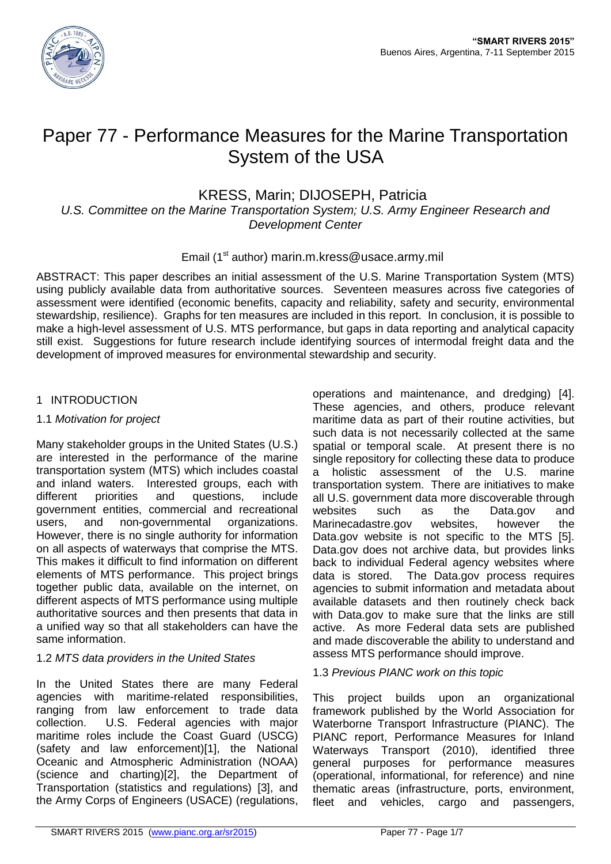

# Paper 77 - Performance Measures for the Marine Transportation System of the USA

# KRESS, Marin; DIJOSEPH, Patricia

*U.S. Committee on the Marine Transportation System; U.S. Army Engineer Research and Development Center*

Email (1<sup>st</sup> author) marin.m.kress@usace.army.mil

ABSTRACT: This paper describes an initial assessment of the U.S. Marine Transportation System (MTS) using publicly available data from authoritative sources. Seventeen measures across five categories of assessment were identified (economic benefits, capacity and reliability, safety and security, environmental stewardship, resilience). Graphs for ten measures are included in this report. In conclusion, it is possible to make a high-level assessment of U.S. MTS performance, but gaps in data reporting and analytical capacity still exist. Suggestions for future research include identifying sources of intermodal freight data and the development of improved measures for environmental stewardship and security.

#### 1 INTRODUCTION

#### 1.1 *Motivation for project*

Many stakeholder groups in the United States (U.S.) are interested in the performance of the marine transportation system (MTS) which includes coastal and inland waters. Interested groups, each with different priorities and questions, include government entities, commercial and recreational users, and non-governmental organizations. However, there is no single authority for information on all aspects of waterways that comprise the MTS. This makes it difficult to find information on different elements of MTS performance. This project brings together public data, available on the internet, on different aspects of MTS performance using multiple authoritative sources and then presents that data in a unified way so that all stakeholders can have the same information.

# 1.2 *MTS data providers in the United States*

In the United States there are many Federal agencies with maritime-related responsibilities, ranging from law enforcement to trade data collection. U.S. Federal agencies with major maritime roles include the Coast Guard (USCG) (safety and law enforcement)[1], the National Oceanic and Atmospheric Administration (NOAA) (science and charting)[2], the Department of Transportation (statistics and regulations) [3], and the Army Corps of Engineers (USACE) (regulations,

operations and maintenance, and dredging) [4]. These agencies, and others, produce relevant maritime data as part of their routine activities, but such data is not necessarily collected at the same spatial or temporal scale. At present there is no single repository for collecting these data to produce a holistic assessment of the U.S. marine transportation system. There are initiatives to make all U.S. government data more discoverable through websites such as the Data.gov and Marinecadastre.gov websites, however the Data.gov website is not specific to the MTS [5]. Data.gov does not archive data, but provides links back to individual Federal agency websites where data is stored. The Data.gov process requires agencies to submit information and metadata about available datasets and then routinely check back with Data.gov to make sure that the links are still active. As more Federal data sets are published and made discoverable the ability to understand and assess MTS performance should improve.

# 1.3 *Previous PIANC work on this topic*

This project builds upon an organizational framework published by the World Association for Waterborne Transport Infrastructure (PIANC). The PIANC report, Performance Measures for Inland Waterways Transport (2010), identified three general purposes for performance measures (operational, informational, for reference) and nine thematic areas (infrastructure, ports, environment, fleet and vehicles, cargo and passengers,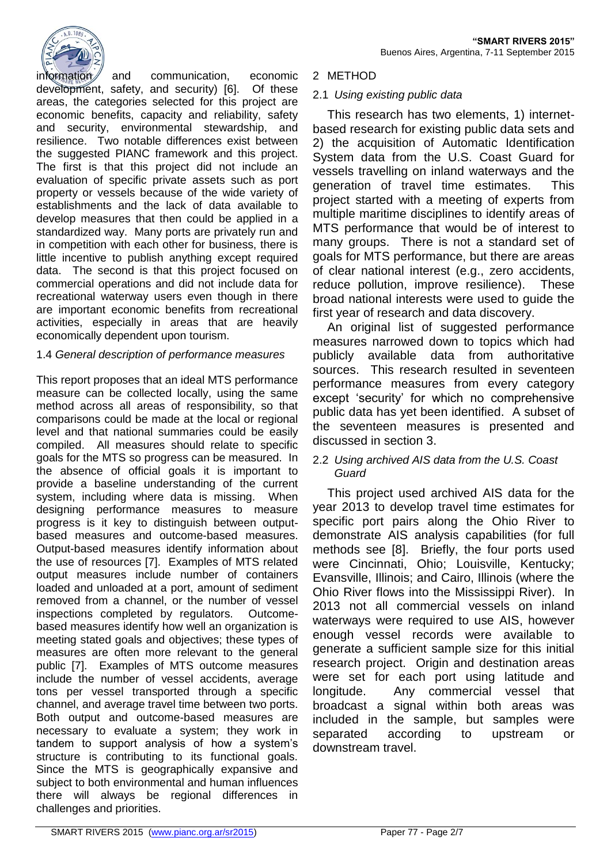

information and communication, economic development, safety, and security) [6]. Of these areas, the categories selected for this project are economic benefits, capacity and reliability, safety and security, environmental stewardship, and resilience. Two notable differences exist between the suggested PIANC framework and this project. The first is that this project did not include an evaluation of specific private assets such as port property or vessels because of the wide variety of establishments and the lack of data available to develop measures that then could be applied in a standardized way. Many ports are privately run and in competition with each other for business, there is little incentive to publish anything except required data. The second is that this project focused on commercial operations and did not include data for recreational waterway users even though in there are important economic benefits from recreational activities, especially in areas that are heavily economically dependent upon tourism.

## 1.4 *General description of performance measures*

This report proposes that an ideal MTS performance measure can be collected locally, using the same method across all areas of responsibility, so that comparisons could be made at the local or regional level and that national summaries could be easily compiled. All measures should relate to specific goals for the MTS so progress can be measured. In the absence of official goals it is important to provide a baseline understanding of the current system, including where data is missing. When designing performance measures to measure progress is it key to distinguish between outputbased measures and outcome-based measures. Output-based measures identify information about the use of resources [7]. Examples of MTS related output measures include number of containers loaded and unloaded at a port, amount of sediment removed from a channel, or the number of vessel inspections completed by regulators. Outcomebased measures identify how well an organization is meeting stated goals and objectives; these types of measures are often more relevant to the general public [7]. Examples of MTS outcome measures include the number of vessel accidents, average tons per vessel transported through a specific channel, and average travel time between two ports. Both output and outcome-based measures are necessary to evaluate a system; they work in tandem to support analysis of how a system's structure is contributing to its functional goals. Since the MTS is geographically expansive and subject to both environmental and human influences there will always be regional differences in challenges and priorities.

#### 2 METHOD

#### 2.1 *Using existing public data*

This research has two elements, 1) internetbased research for existing public data sets and 2) the acquisition of Automatic Identification System data from the U.S. Coast Guard for vessels travelling on inland waterways and the generation of travel time estimates. This project started with a meeting of experts from multiple maritime disciplines to identify areas of MTS performance that would be of interest to many groups. There is not a standard set of goals for MTS performance, but there are areas of clear national interest (e.g., zero accidents, reduce pollution, improve resilience). These broad national interests were used to guide the first year of research and data discovery.

An original list of suggested performance measures narrowed down to topics which had publicly available data from authoritative sources. This research resulted in seventeen performance measures from every category except 'security' for which no comprehensive public data has yet been identified. A subset of the seventeen measures is presented and discussed in section 3.

#### 2.2 *Using archived AIS data from the U.S. Coast Guard*

This project used archived AIS data for the year 2013 to develop travel time estimates for specific port pairs along the Ohio River to demonstrate AIS analysis capabilities (for full methods see [8]. Briefly, the four ports used were Cincinnati, Ohio; Louisville, Kentucky; Evansville, Illinois; and Cairo, Illinois (where the Ohio River flows into the Mississippi River). In 2013 not all commercial vessels on inland waterways were required to use AIS, however enough vessel records were available to generate a sufficient sample size for this initial research project. Origin and destination areas were set for each port using latitude and longitude. Any commercial vessel that broadcast a signal within both areas was included in the sample, but samples were separated according to upstream or downstream travel.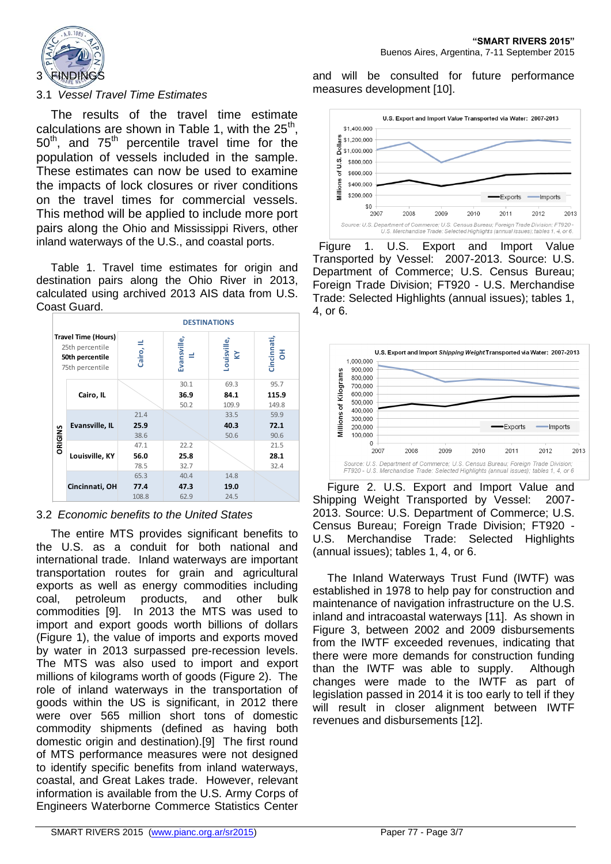

#### 3.1 *Vessel Travel Time Estimates*

The results of the travel time estimate calculations are shown in Table 1, with the  $25<sup>th</sup>$ ,  $50<sup>th</sup>$ , and  $75<sup>th</sup>$  percentile travel time for the population of vessels included in the sample. These estimates can now be used to examine the impacts of lock closures or river conditions on the travel times for commercial vessels. This method will be applied to include more port pairs along the Ohio and Mississippi Rivers, other inland waterways of the U.S., and coastal ports.

Table 1. Travel time estimates for origin and destination pairs along the Ohio River in 2013, calculated using archived 2013 AIS data from U.S. Coast Guard.



#### 3.2 *Economic benefits to the United States*

The entire MTS provides significant benefits to the U.S. as a conduit for both national and international trade. Inland waterways are important transportation routes for grain and agricultural exports as well as energy commodities including coal, petroleum products, and other bulk commodities [9]. In 2013 the MTS was used to import and export goods worth billions of dollars (Figure 1), the value of imports and exports moved by water in 2013 surpassed pre-recession levels. The MTS was also used to import and export millions of kilograms worth of goods (Figure 2). The role of inland waterways in the transportation of goods within the US is significant, in 2012 there were over 565 million short tons of domestic commodity shipments (defined as having both domestic origin and destination).[9] The first round of MTS performance measures were not designed to identify specific benefits from inland waterways, coastal, and Great Lakes trade. However, relevant information is available from the U.S. Army Corps of Engineers Waterborne Commerce Statistics Center

and will be consulted for future performance measures development [10].



 Figure 1. U.S. Export and Import Value Transported by Vessel: 2007-2013. Source: U.S. Department of Commerce; U.S. Census Bureau; Foreign Trade Division; FT920 - U.S. Merchandise Trade: Selected Highlights (annual issues); tables 1, 4, or 6.



Figure 2. U.S. Export and Import Value and Shipping Weight Transported by Vessel: 2007- 2013. Source: U.S. Department of Commerce; U.S. Census Bureau; Foreign Trade Division; FT920 - U.S. Merchandise Trade: Selected Highlights (annual issues); tables 1, 4, or 6.

The Inland Waterways Trust Fund (IWTF) was established in 1978 to help pay for construction and maintenance of navigation infrastructure on the U.S. inland and intracoastal waterways [11]. As shown in Figure 3, between 2002 and 2009 disbursements from the IWTF exceeded revenues, indicating that there were more demands for construction funding than the IWTF was able to supply. Although changes were made to the IWTF as part of legislation passed in 2014 it is too early to tell if they will result in closer alignment between IWTF revenues and disbursements [12].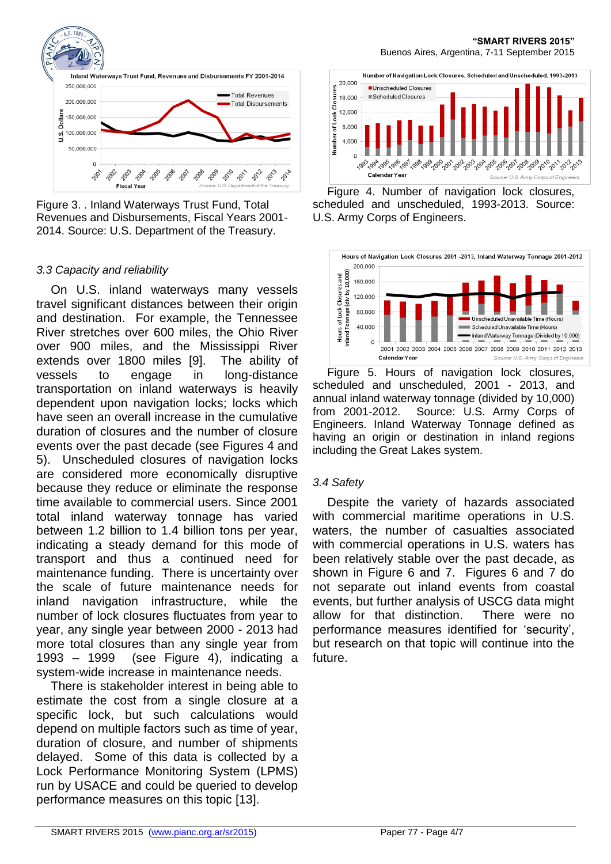

Figure 3. . Inland Waterways Trust Fund, Total Revenues and Disbursements, Fiscal Years 2001- 2014. Source: U.S. Department of the Treasury.

#### *3.3 Capacity and reliability*

On U.S. inland waterways many vessels travel significant distances between their origin and destination. For example, the Tennessee River stretches over 600 miles, the Ohio River over 900 miles, and the Mississippi River extends over 1800 miles [9]. The ability of vessels to engage in long-distance transportation on inland waterways is heavily dependent upon navigation locks; locks which have seen an overall increase in the cumulative duration of closures and the number of closure events over the past decade (see Figures 4 and 5). Unscheduled closures of navigation locks are considered more economically disruptive because they reduce or eliminate the response time available to commercial users. Since 2001 total inland waterway tonnage has varied between 1.2 billion to 1.4 billion tons per year, indicating a steady demand for this mode of transport and thus a continued need for maintenance funding. There is uncertainty over the scale of future maintenance needs for inland navigation infrastructure, while the number of lock closures fluctuates from year to year, any single year between 2000 - 2013 had more total closures than any single year from 1993 – 1999 (see Figure 4), indicating a system-wide increase in maintenance needs.

There is stakeholder interest in being able to estimate the cost from a single closure at a specific lock, but such calculations would depend on multiple factors such as time of year, duration of closure, and number of shipments delayed. Some of this data is collected by a Lock Performance Monitoring System (LPMS) run by USACE and could be queried to develop performance measures on this topic [13].



Figure 4. Number of navigation lock closures, scheduled and unscheduled, 1993-2013. Source: U.S. Army Corps of Engineers.



Figure 5. Hours of navigation lock closures, scheduled and unscheduled, 2001 - 2013, and annual inland waterway tonnage (divided by 10,000) from 2001-2012. Source: U.S. Army Corps of Engineers. Inland Waterway Tonnage defined as having an origin or destination in inland regions including the Great Lakes system.

# *3.4 Safety*

Despite the variety of hazards associated with commercial maritime operations in U.S. waters, the number of casualties associated with commercial operations in U.S. waters has been relatively stable over the past decade, as shown in Figure 6 and 7. Figures 6 and 7 do not separate out inland events from coastal events, but further analysis of USCG data might allow for that distinction. There were no performance measures identified for 'security', but research on that topic will continue into the future.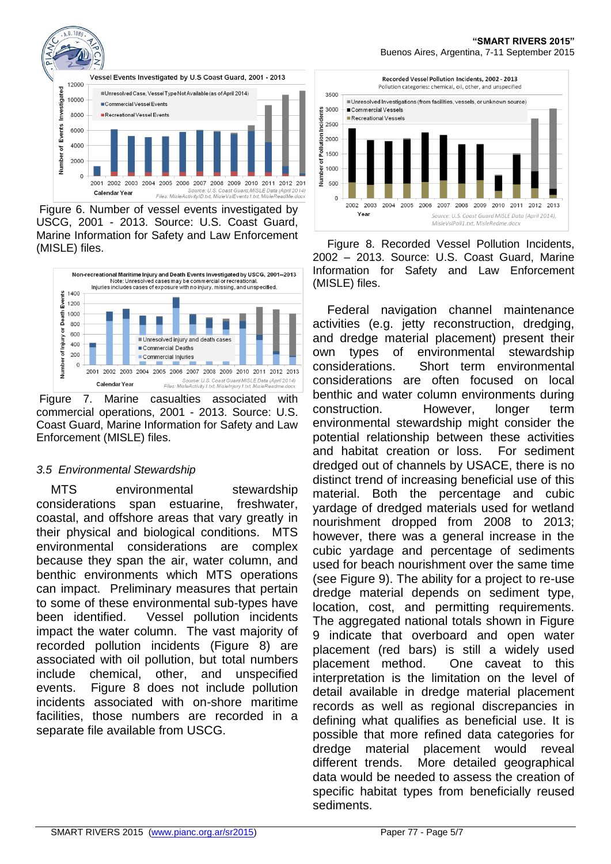

Figure 6. Number of vessel events investigated by USCG, 2001 - 2013. Source: U.S. Coast Guard, Marine Information for Safety and Law Enforcement (MISLE) files.



Figure 7. Marine casualties associated with commercial operations, 2001 - 2013. Source: U.S. Coast Guard, Marine Information for Safety and Law Enforcement (MISLE) files.

# *3.5 Environmental Stewardship*

MTS environmental stewardship considerations span estuarine, freshwater, coastal, and offshore areas that vary greatly in their physical and biological conditions. MTS environmental considerations are complex because they span the air, water column, and benthic environments which MTS operations can impact. Preliminary measures that pertain to some of these environmental sub-types have been identified. Vessel pollution incidents impact the water column. The vast majority of recorded pollution incidents (Figure 8) are associated with oil pollution, but total numbers include chemical, other, and unspecified events. Figure 8 does not include pollution incidents associated with on-shore maritime facilities, those numbers are recorded in a separate file available from USCG.



Figure 8. Recorded Vessel Pollution Incidents, 2002 – 2013. Source: U.S. Coast Guard, Marine Information for Safety and Law Enforcement (MISLE) files.

Federal navigation channel maintenance activities (e.g. jetty reconstruction, dredging, and dredge material placement) present their own types of environmental stewardship considerations. Short term environmental considerations are often focused on local benthic and water column environments during construction. However, longer term environmental stewardship might consider the potential relationship between these activities and habitat creation or loss. For sediment dredged out of channels by USACE, there is no distinct trend of increasing beneficial use of this material. Both the percentage and cubic yardage of dredged materials used for wetland nourishment dropped from 2008 to 2013; however, there was a general increase in the cubic yardage and percentage of sediments used for beach nourishment over the same time (see Figure 9). The ability for a project to re-use dredge material depends on sediment type, location, cost, and permitting requirements. The aggregated national totals shown in Figure 9 indicate that overboard and open water placement (red bars) is still a widely used placement method. One caveat to this interpretation is the limitation on the level of detail available in dredge material placement records as well as regional discrepancies in defining what qualifies as beneficial use. It is possible that more refined data categories for dredge material placement would reveal different trends. More detailed geographical data would be needed to assess the creation of specific habitat types from beneficially reused sediments.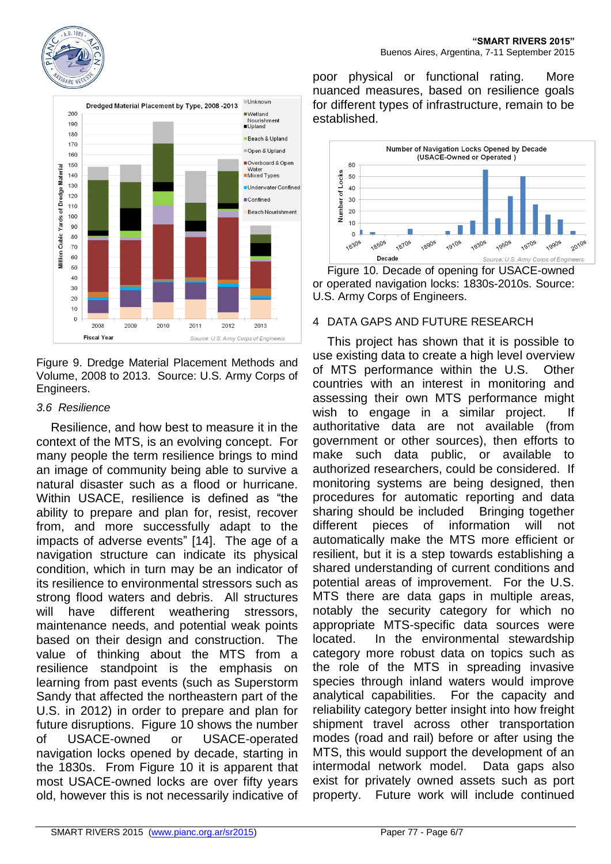





Figure 9. Dredge Material Placement Methods and Volume, 2008 to 2013. Source: U.S. Army Corps of Engineers.

## *3.6 Resilience*

Resilience, and how best to measure it in the context of the MTS, is an evolving concept. For many people the term resilience brings to mind an image of community being able to survive a natural disaster such as a flood or hurricane. Within USACE, resilience is defined as "the ability to prepare and plan for, resist, recover from, and more successfully adapt to the impacts of adverse events" [14]. The age of a navigation structure can indicate its physical condition, which in turn may be an indicator of its resilience to environmental stressors such as strong flood waters and debris. All structures will have different weathering stressors, maintenance needs, and potential weak points based on their design and construction. The value of thinking about the MTS from a resilience standpoint is the emphasis on learning from past events (such as Superstorm Sandy that affected the northeastern part of the U.S. in 2012) in order to prepare and plan for future disruptions. Figure 10 shows the number of USACE-owned or USACE-operated navigation locks opened by decade, starting in the 1830s. From Figure 10 it is apparent that most USACE-owned locks are over fifty years old, however this is not necessarily indicative of

poor physical or functional rating. More nuanced measures, based on resilience goals for different types of infrastructure, remain to be established.



Figure 10. Decade of opening for USACE-owned or operated navigation locks: 1830s-2010s. Source: U.S. Army Corps of Engineers.

## 4 DATA GAPS AND FUTURE RESEARCH

This project has shown that it is possible to use existing data to create a high level overview of MTS performance within the U.S. Other countries with an interest in monitoring and assessing their own MTS performance might wish to engage in a similar project. If authoritative data are not available (from government or other sources), then efforts to make such data public, or available to authorized researchers, could be considered. If monitoring systems are being designed, then procedures for automatic reporting and data sharing should be included Bringing together different pieces of information will not automatically make the MTS more efficient or resilient, but it is a step towards establishing a shared understanding of current conditions and potential areas of improvement. For the U.S. MTS there are data gaps in multiple areas, notably the security category for which no appropriate MTS-specific data sources were located. In the environmental stewardship category more robust data on topics such as the role of the MTS in spreading invasive species through inland waters would improve analytical capabilities. For the capacity and reliability category better insight into how freight shipment travel across other transportation modes (road and rail) before or after using the MTS, this would support the development of an intermodal network model. Data gaps also exist for privately owned assets such as port property. Future work will include continued